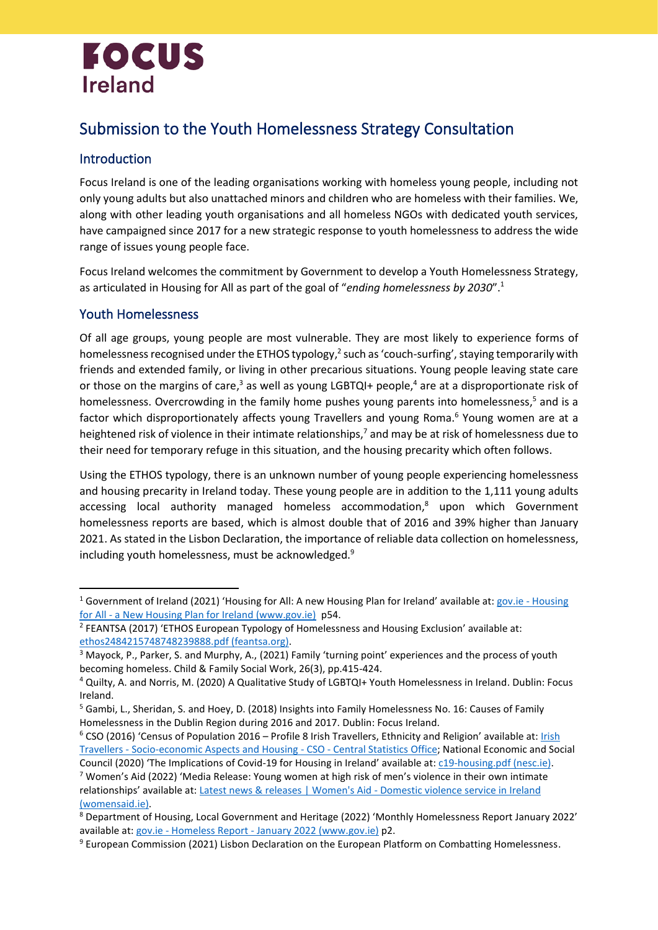# **FOCUS Ireland**

## Submission to the Youth Homelessness Strategy Consultation

#### Introduction

Focus Ireland is one of the leading organisations working with homeless young people, including not only young adults but also unattached minors and children who are homeless with their families. We, along with other leading youth organisations and all homeless NGOs with dedicated youth services, have campaigned since 2017 for a new strategic response to youth homelessness to address the wide range of issues young people face.

Focus Ireland welcomes the commitment by Government to develop a Youth Homelessness Strategy, as articulated in Housing for All as part of the goal of "*ending homelessness by 2030*". 1

#### Youth Homelessness

<span id="page-0-0"></span>Of all age groups, young people are most vulnerable. They are most likely to experience forms of homelessness recognised under the ETHOS typology,<sup>2</sup> such as 'couch-surfing', staying temporarily with friends and extended family, or living in other precarious situations. Young people leaving state care or those on the margins of care,<sup>3</sup> as well as young LGBTQI+ people,<sup>4</sup> are at a disproportionate risk of homelessness. Overcrowding in the family home pushes young parents into homelessness,<sup>5</sup> and is a factor which disproportionately affects young Travellers and young Roma.<sup>6</sup> Young women are at a heightened risk of violence in their intimate relationships,<sup>7</sup> and may be at risk of homelessness due to their need for temporary refuge in this situation, and the housing precarity which often follows.

Using the ETHOS typology, there is an unknown number of young people experiencing homelessness and housing precarity in Ireland today. These young people are in addition to the 1,111 young adults accessing local authority managed homeless accommodation, <sup>8</sup> upon which Government homelessness reports are based, which is almost double that of 2016 and 39% higher than January 2021. As stated in the Lisbon Declaration, the importance of reliable data collection on homelessness, including youth homelessness, must be acknowledged.<sup>9</sup>

<sup>1</sup> Government of Ireland (2021) 'Housing for All: A new Housing Plan for Ireland' available at: gov.ie - [Housing](https://www.gov.ie/en/publication/ef5ec-housing-for-all-a-new-housing-plan-for-ireland/)  for All - [a New Housing Plan for Ireland \(www.gov.ie\)](https://www.gov.ie/en/publication/ef5ec-housing-for-all-a-new-housing-plan-for-ireland/) p54.

<sup>&</sup>lt;sup>2</sup> FEANTSA (2017) 'ETHOS European Typology of Homelessness and Housing Exclusion' available at: [ethos2484215748748239888.pdf \(feantsa.org\).](https://www.feantsa.org/download/ethos2484215748748239888.pdf)

<sup>&</sup>lt;sup>3</sup> Mayock, P., Parker, S. and Murphy, A., (2021) Family 'turning point' experiences and the process of youth becoming homeless. Child & Family Social Work, 26(3), pp.415-424.

<sup>4</sup> Quilty, A. and Norris, M. (2020) A Qualitative Study of LGBTQI+ Youth Homelessness in Ireland. Dublin: Focus Ireland.

<sup>&</sup>lt;sup>5</sup> Gambi, L., Sheridan, S. and Hoey, D. (2018) Insights into Family Homelessness No. 16: Causes of Family Homelessness in the Dublin Region during 2016 and 2017. Dublin: Focus Ireland.

<sup>&</sup>lt;sup>6</sup> CSO (2016) 'Census of Population 2016 – Profile 8 [Irish](https://www.cso.ie/en/releasesandpublications/ep/p-cp8iter/p8iter/p8itseah/) Travellers, Ethnicity and Religion' available at: *Irish* Travellers - [Socio-economic Aspects and Housing -](https://www.cso.ie/en/releasesandpublications/ep/p-cp8iter/p8iter/p8itseah/) CSO - Central Statistics Office; National Economic and Social

Council (2020) 'The Implications of Covid-19 for Housing in Ireland' available at: [c19-housing.pdf \(nesc.ie\).](http://files.nesc.ie/nesc_background_papers/c19-housing.pdf) <sup>7</sup> Women's Aid (2022) 'Media Release: Young women at high risk of men's violence in their own intimate relationships' available at: [Latest news & releases | Women's Aid -](https://www.womensaid.ie/about/newsevents/news/2022/02/14/media-release-young-women-at-high-risk-of-mens-vio/) Domestic violence service in Ireland [\(womensaid.ie\).](https://www.womensaid.ie/about/newsevents/news/2022/02/14/media-release-young-women-at-high-risk-of-mens-vio/)

<sup>8</sup> Department of Housing, Local Government and Heritage (2022) 'Monthly Homelessness Report January 2022' available at: gov.ie - Homeless Report - [January 2022 \(www.gov.ie\)](https://www.gov.ie/en/publication/c20c9-homeless-report-january-2022/) p2.

<sup>&</sup>lt;sup>9</sup> European Commission (2021) Lisbon Declaration on the European Platform on Combatting Homelessness.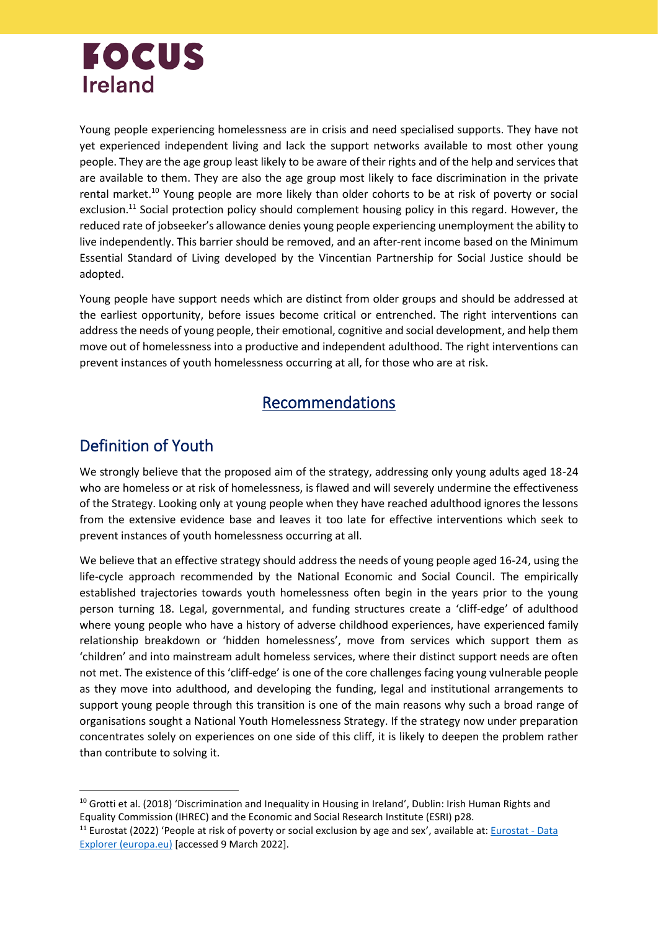# **FOCUS Ireland**

<span id="page-1-0"></span>Young people experiencing homelessness are in crisis and need specialised supports. They have not yet experienced independent living and lack the support networks available to most other young people. They are the age group least likely to be aware of their rights and of the help and services that are available to them. They are also the age group most likely to face discrimination in the private rental market.<sup>10</sup> Young people are more likely than older cohorts to be at risk of poverty or social exclusion.<sup>11</sup> Social protection policy should complement housing policy in this regard. However, the reduced rate of jobseeker's allowance denies young people experiencing unemployment the ability to live independently. This barrier should be removed, and an after-rent income based on the Minimum Essential Standard of Living developed by the Vincentian Partnership for Social Justice should be adopted.

Young people have support needs which are distinct from older groups and should be addressed at the earliest opportunity, before issues become critical or entrenched. The right interventions can address the needs of young people, their emotional, cognitive and social development, and help them move out of homelessness into a productive and independent adulthood. The right interventions can prevent instances of youth homelessness occurring at all, for those who are at risk.

### Recommendations

## Definition of Youth

We strongly believe that the proposed aim of the strategy, addressing only young adults aged 18-24 who are homeless or at risk of homelessness, is flawed and will severely undermine the effectiveness of the Strategy. Looking only at young people when they have reached adulthood ignores the lessons from the extensive evidence base and leaves it too late for effective interventions which seek to prevent instances of youth homelessness occurring at all.

We believe that an effective strategy should address the needs of young people aged 16-24, using the life-cycle approach recommended by the National Economic and Social Council. The empirically established trajectories towards youth homelessness often begin in the years prior to the young person turning 18. Legal, governmental, and funding structures create a 'cliff-edge' of adulthood where young people who have a history of adverse childhood experiences, have experienced family relationship breakdown or 'hidden homelessness', move from services which support them as 'children' and into mainstream adult homeless services, where their distinct support needs are often not met. The existence of this 'cliff-edge' is one of the core challenges facing young vulnerable people as they move into adulthood, and developing the funding, legal and institutional arrangements to support young people through this transition is one of the main reasons why such a broad range of organisations sought a National Youth Homelessness Strategy. If the strategy now under preparation concentrates solely on experiences on one side of this cliff, it is likely to deepen the problem rather than contribute to solving it.

<sup>&</sup>lt;sup>10</sup> Grotti et al. (2018) 'Discrimination and Inequality in Housing in Ireland', Dublin: Irish Human Rights and Equality Commission (IHREC) and the Economic and Social Research Institute (ESRI) p28.

<sup>&</sup>lt;sup>11</sup> Eurostat (2022) 'People at risk of poverty or social exclusion by age and sex', available at: [Eurostat -](https://appsso.eurostat.ec.europa.eu/nui/show.do?query=BOOKMARK_DS-127829_QID_-B804398_UID_-3F171EB0&layout=AGE,L,X,0;GEO,L,Y,0;UNIT,L,Z,0;TIME,C,Z,1;SEX,L,Z,2;INDICATORS,C,Z,3;&zSelection=DS-127829UNIT,PC;DS-127829SEX,T;DS-127829TIME,2017;DS-127829INDICATORS,OBS_FLAG;&rankName1=UNIT_1_2_-1_2&rankName2=INDICATORS_1_2_-1_2&rankName3=SEX_1_2_-1_2&rankName4=TIME_1_0_0_0&rankName5=AGE_1_2_0_0&rankName6=GEO_1_2_0_1&rStp=&cStp=&rDCh=&cDCh=&rDM=true&cDM=true&footnes=false&empty=false&wai=false&time_mode=ROLLING&time_most_recent=true&lang=EN&cfo=%23%23%23%2C%23%23%23.%23%23%23&eub_bm=ilc_peps01$DV_565&lang=en) Data [Explorer \(europa.eu\)](https://appsso.eurostat.ec.europa.eu/nui/show.do?query=BOOKMARK_DS-127829_QID_-B804398_UID_-3F171EB0&layout=AGE,L,X,0;GEO,L,Y,0;UNIT,L,Z,0;TIME,C,Z,1;SEX,L,Z,2;INDICATORS,C,Z,3;&zSelection=DS-127829UNIT,PC;DS-127829SEX,T;DS-127829TIME,2017;DS-127829INDICATORS,OBS_FLAG;&rankName1=UNIT_1_2_-1_2&rankName2=INDICATORS_1_2_-1_2&rankName3=SEX_1_2_-1_2&rankName4=TIME_1_0_0_0&rankName5=AGE_1_2_0_0&rankName6=GEO_1_2_0_1&rStp=&cStp=&rDCh=&cDCh=&rDM=true&cDM=true&footnes=false&empty=false&wai=false&time_mode=ROLLING&time_most_recent=true&lang=EN&cfo=%23%23%23%2C%23%23%23.%23%23%23&eub_bm=ilc_peps01$DV_565&lang=en) [accessed 9 March 2022].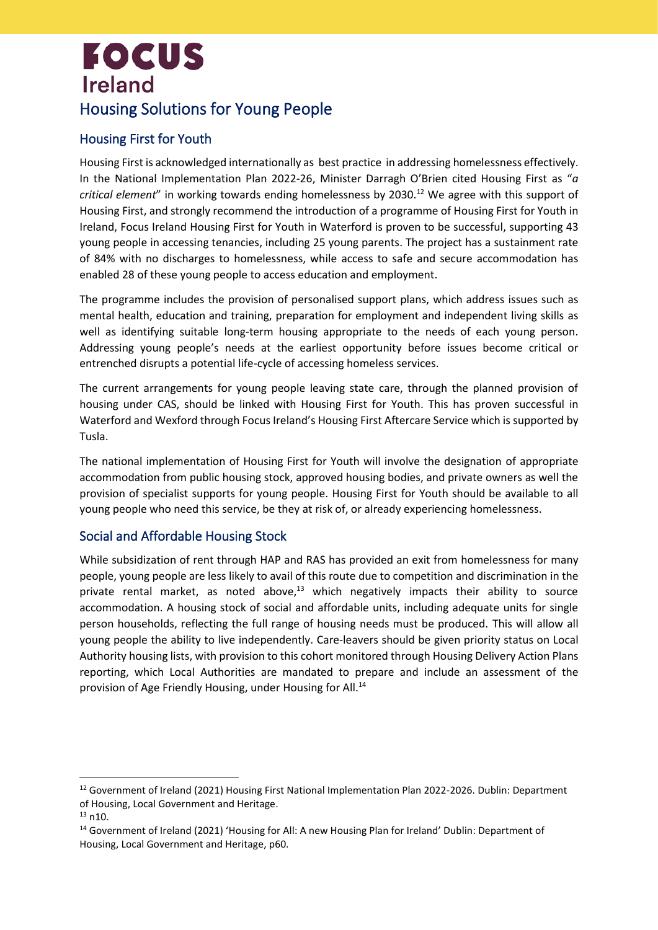## **FOCUS Ireland** Housing Solutions for Young People

#### Housing First for Youth

Housing First is acknowledged internationally as best practice in addressing homelessness effectively. In the National Implementation Plan 2022-26, Minister Darragh O'Brien cited Housing First as "*a critical element*" in working towards ending homelessness by 2030.<sup>12</sup> We agree with this support of Housing First, and strongly recommend the introduction of a programme of Housing First for Youth in Ireland, Focus Ireland Housing First for Youth in Waterford is proven to be successful, supporting 43 young people in accessing tenancies, including 25 young parents. The project has a sustainment rate of 84% with no discharges to homelessness, while access to safe and secure accommodation has enabled 28 of these young people to access education and employment.

The programme includes the provision of personalised support plans, which address issues such as mental health, education and training, preparation for employment and independent living skills as well as identifying suitable long-term housing appropriate to the needs of each young person. Addressing young people's needs at the earliest opportunity before issues become critical or entrenched disrupts a potential life-cycle of accessing homeless services.

The current arrangements for young people leaving state care, through the planned provision of housing under CAS, should be linked with Housing First for Youth. This has proven successful in Waterford and Wexford through Focus Ireland's Housing First Aftercare Service which is supported by Tusla.

The national implementation of Housing First for Youth will involve the designation of appropriate accommodation from public housing stock, approved housing bodies, and private owners as well the provision of specialist supports for young people. Housing First for Youth should be available to all young people who need this service, be they at risk of, or already experiencing homelessness.

#### Social and Affordable Housing Stock

While subsidization of rent through HAP and RAS has provided an exit from homelessness for many people, young people are less likely to avail of this route due to competition and discrimination in the private rental market, as noted above, $13$  which negatively impacts their ability to source accommodation. A housing stock of social and affordable units, including adequate units for single person households, reflecting the full range of housing needs must be produced. This will allow all young people the ability to live independently. Care-leavers should be given priority status on Local Authority housing lists, with provision to this cohort monitored through Housing Delivery Action Plans reporting, which Local Authorities are mandated to prepare and include an assessment of the provision of Age Friendly Housing, under Housing for All.<sup>14</sup>

<sup>&</sup>lt;sup>12</sup> Government of Ireland (2021) Housing First National Implementation Plan 2022-2026. Dublin: Department of Housing, Local Government and Heritage.

<sup>13</sup> [n10.](#page-1-0)

<sup>14</sup> Government of Ireland (2021) 'Housing for All: A new Housing Plan for Ireland' Dublin: Department of Housing, Local Government and Heritage, p60.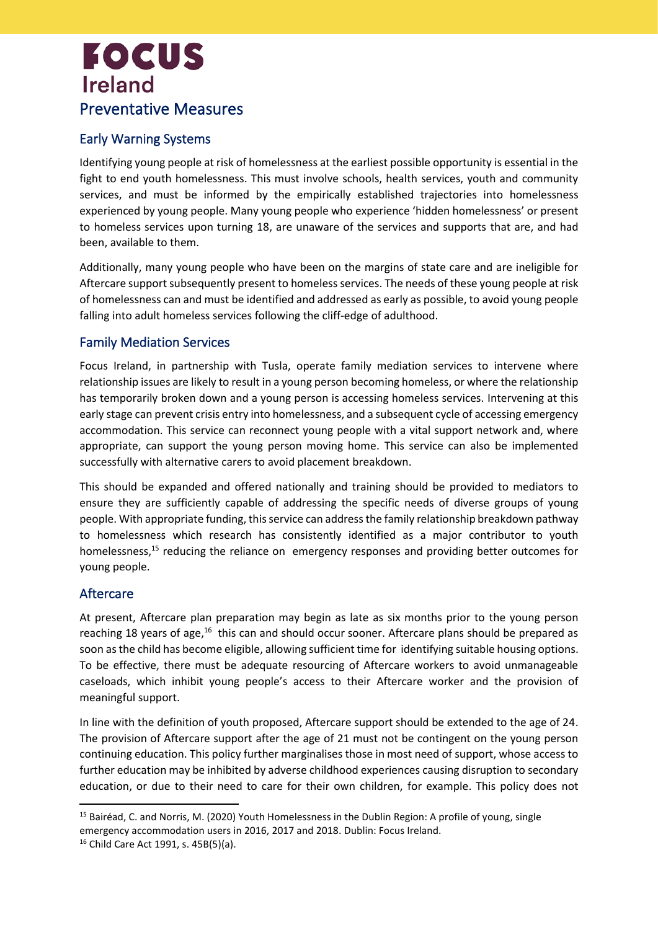## **FOCUS Ireland** Preventative Measures

#### Early Warning Systems

Identifying young people at risk of homelessness at the earliest possible opportunity is essential in the fight to end youth homelessness. This must involve schools, health services, youth and community services, and must be informed by the empirically established trajectories into homelessness experienced by young people. Many young people who experience 'hidden homelessness' or present to homeless services upon turning 18, are unaware of the services and supports that are, and had been, available to them.

Additionally, many young people who have been on the margins of state care and are ineligible for Aftercare support subsequently present to homeless services. The needs of these young people at risk of homelessness can and must be identified and addressed as early as possible, to avoid young people falling into adult homeless services following the cliff-edge of adulthood.

#### Family Mediation Services

Focus Ireland, in partnership with Tusla, operate family mediation services to intervene where relationship issues are likely to result in a young person becoming homeless, or where the relationship has temporarily broken down and a young person is accessing homeless services. Intervening at this early stage can prevent crisis entry into homelessness, and a subsequent cycle of accessing emergency accommodation. This service can reconnect young people with a vital support network and, where appropriate, can support the young person moving home. This service can also be implemented successfully with alternative carers to avoid placement breakdown.

This should be expanded and offered nationally and training should be provided to mediators to ensure they are sufficiently capable of addressing the specific needs of diverse groups of young people. With appropriate funding, this service can addressthe family relationship breakdown pathway to homelessness which research has consistently identified as a major contributor to youth homelessness,<sup>15</sup> reducing the reliance on emergency responses and providing better outcomes for young people.

#### Aftercare

At present, Aftercare plan preparation may begin as late as six months prior to the young person reaching 18 years of age,<sup>16</sup> this can and should occur sooner. Aftercare plans should be prepared as soon asthe child has become eligible, allowing sufficient time for identifying suitable housing options. To be effective, there must be adequate resourcing of Aftercare workers to avoid unmanageable caseloads, which inhibit young people's access to their Aftercare worker and the provision of meaningful support.

In line with the definition of youth proposed, Aftercare support should be extended to the age of 24. The provision of Aftercare support after the age of 21 must not be contingent on the young person continuing education. This policy further marginalises those in most need of support, whose access to further education may be inhibited by adverse childhood experiences causing disruption to secondary education, or due to their need to care for their own children, for example. This policy does not

<sup>&</sup>lt;sup>15</sup> Bairéad, C. and Norris, M. (2020) Youth Homelessness in the Dublin Region: A profile of young, single emergency accommodation users in 2016, 2017 and 2018. Dublin: Focus Ireland.

<sup>16</sup> Child Care Act 1991, s. 45B(5)(a).